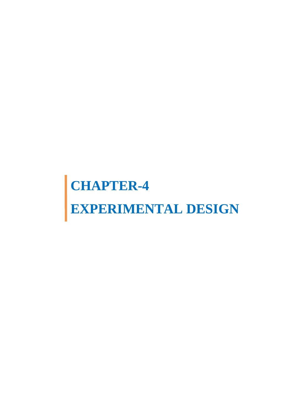# **CHAPTER-4 EXPERIMENTAL DESIGN**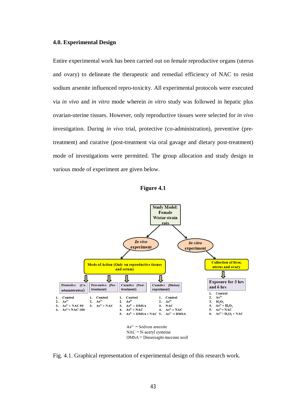## **4.0. Experimental Design**

Entire experimental work has been carried out on female reproductive organs (uterus and ovary) to delineate the therapeutic and remedial efficiency of NAC to resist sodium arsenite influenced repro-toxicity. All experimental protocols were executed via *in vivo* and *in vitro* mode wherein *in vitro* study was followed in hepatic plus ovarian-uterine tissues. However, only reproductive tissues were selected for *in vivo*  investigation. During *in vivo* trial, protective (co-administration), preventive (pretreatment) and curative (post-treatment via oral gavage and dietary post-treatment) mode of investigations were permitted. The group allocation and study design in various mode of experiment are given below.





Fig. 4.1. Graphical representation of experimental design of this research work.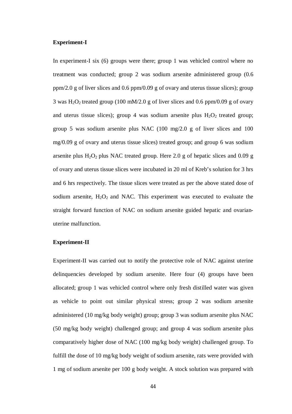### **Experiment-I**

In experiment-I six (6) groups were there; group 1 was vehicled control where no treatment was conducted; group 2 was sodium arsenite administered group (0.6 ppm/2.0 g of liver slices and 0.6 ppm/0.09 g of ovary and uterus tissue slices); group 3 was H<sub>2</sub>O<sub>2</sub> treated group (100 mM/2.0 g of liver slices and 0.6 ppm/0.09 g of ovary and uterus tissue slices); group 4 was sodium arsenite plus  $H_2O_2$  treated group; group 5 was sodium arsenite plus NAC (100 mg/2.0 g of liver slices and 100 mg/0.09 g of ovary and uterus tissue slices) treated group; and group 6 was sodium arsenite plus  $H_2O_2$  plus NAC treated group. Here 2.0 g of hepatic slices and 0.09 g of ovary and uterus tissue slices were incubated in 20 ml of Kreb's solution for 3 hrs and 6 hrs respectively. The tissue slices were treated as per the above stated dose of sodium arsenite,  $H_2O_2$  and NAC. This experiment was executed to evaluate the straight forward function of NAC on sodium arsenite guided hepatic and ovarianuterine malfunction.

## **Experiment-II**

Experiment-II was carried out to notify the protective role of NAC against uterine delinquencies developed by sodium arsenite. Here four (4) groups have been allocated; group 1 was vehicled control where only fresh distilled water was given as vehicle to point out similar physical stress; group 2 was sodium arsenite administered (10 mg/kg body weight) group; group 3 was sodium arsenite plus NAC (50 mg/kg body weight) challenged group; and group 4 was sodium arsenite plus comparatively higher dose of NAC (100 mg/kg body weight) challenged group. To fulfill the dose of 10 mg/kg body weight of sodium arsenite, rats were provided with 1 mg of sodium arsenite per 100 g body weight. A stock solution was prepared with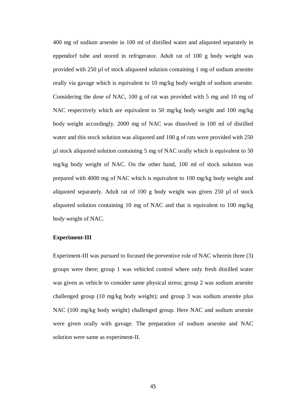400 mg of sodium arsenite in 100 ml of distilled water and aliquoted separately in eppendorf tube and stored in refrigerator. Adult rat of 100 g body weight was provided with 250 µl of stock aliquoted solution containing 1 mg of sodium arsenite orally via gavage which is equivalent to 10 mg/kg body weight of sodium arsenite. Considering the dose of NAC, 100 g of rat was provided with 5 mg and 10 mg of NAC respectively which are equivalent to 50 mg/kg body weight and 100 mg/kg body weight accordingly. 2000 mg of NAC was dissolved in 100 ml of distilled water and this stock solution was aliquoted and 100 g of rats were provided with 250 µl stock aliquoted solution containing 5 mg of NAC orally which is equivalent to 50 mg/kg body weight of NAC. On the other hand, 100 ml of stock solution was prepared with 4000 mg of NAC which is equivalent to 100 mg/kg body weight and aliquoted separately. Adult rat of 100 g body weight was given 250 µl of stock aliquoted solution containing 10 mg of NAC and that is equivalent to 100 mg/kg body weight of NAC.

## **Experiment-III**

Experiment-III was pursued to focused the preventive role of NAC wherein three (3) groups were there; group 1 was vehicled control where only fresh distilled water was given as vehicle to consider same physical stress; group 2 was sodium arsenite challenged group (10 mg/kg body weight); and group 3 was sodium arsenite plus NAC (100 mg/kg body weight) challenged group. Here NAC and sodium arsenite were given orally with gavage. The preparation of sodium arsenite and NAC solution were same as experiment-II.